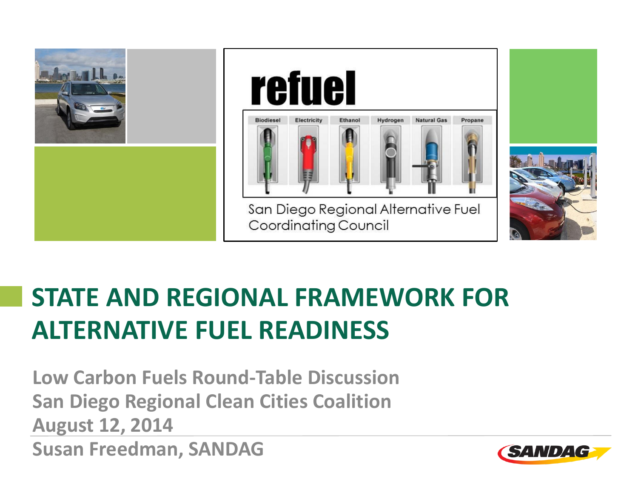

## **STATE AND REGIONAL FRAMEWORK FOR ALTERNATIVE FUEL READINESS**

**Low Carbon Fuels Round-Table Discussion San Diego Regional Clean Cities Coalition August 12, 2014 Susan Freedman, SANDAG**

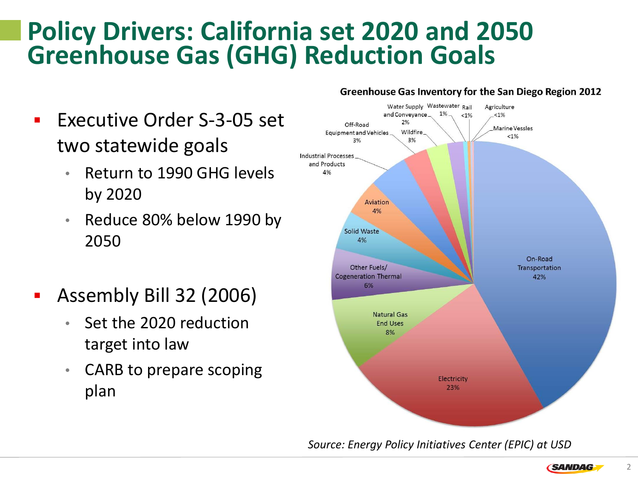#### **Policy Drivers: California set 2020 and 2050 Greenhouse Gas (GHG) Reduction Goals**

- **Executive Order S-3-05 set** two statewide goals
	- Return to 1990 GHG levels by 2020
	- Reduce 80% below 1990 by 2050
- Assembly Bill 32 (2006)
	- Set the 2020 reduction target into law
	- CARB to prepare scoping plan

#### Greenhouse Gas Inventory for the San Diego Region 2012



*Source: Energy Policy Initiatives Center (EPIC) at USD*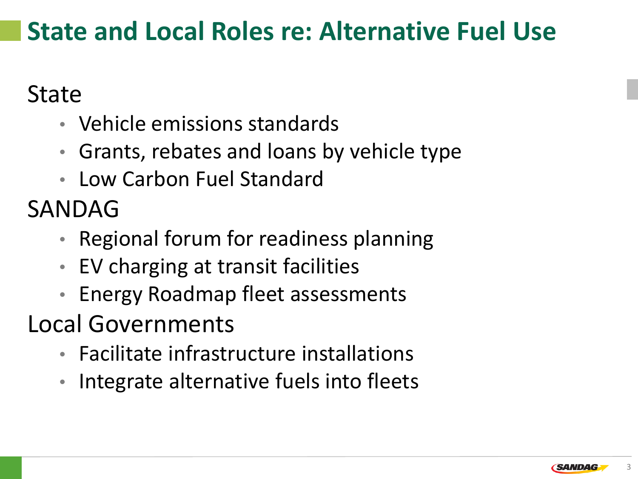### **State and Local Roles re: Alternative Fuel Use**

#### State

- Vehicle emissions standards
- Grants, rebates and loans by vehicle type
- Low Carbon Fuel Standard

# SANDAG

- Regional forum for readiness planning
- EV charging at transit facilities
- Energy Roadmap fleet assessments
- Local Governments
	- Facilitate infrastructure installations
	- Integrate alternative fuels into fleets

3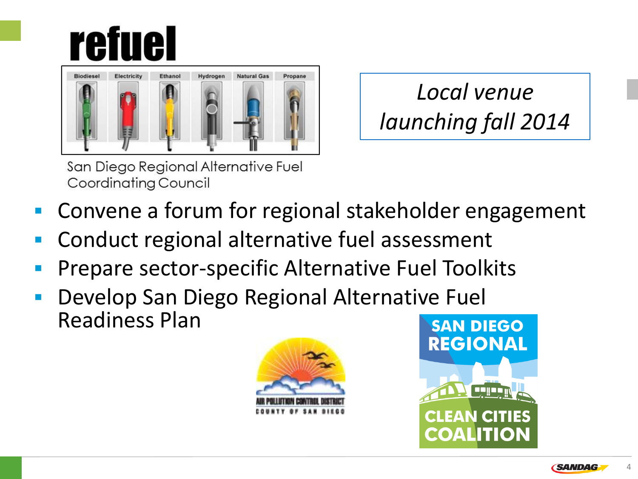# **refuel**



*Local venue launching fall 2014*

San Diego Regional Alternative Fuel Coordinating Council

- Convene a forum for regional stakeholder engagement
- Conduct regional alternative fuel assessment
- Prepare sector-specific Alternative Fuel Toolkits
- Develop San Diego Regional Alternative Fuel Readiness Plan





**SANDAG**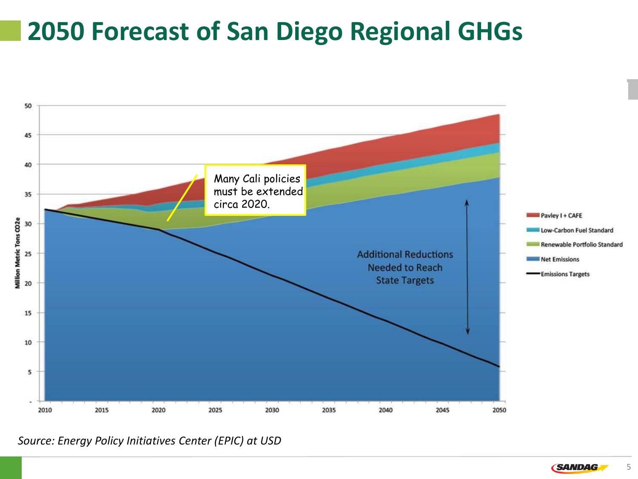### **2050 Forecast of San Diego Regional GHGs**



*Source: Energy Policy Initiatives Center (EPIC) at USD*

5